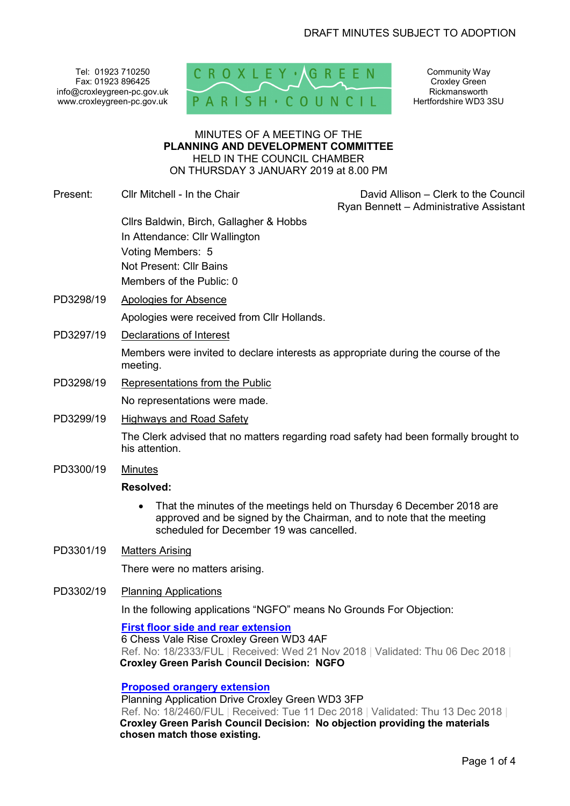Tel: 01923 710250 Fax: 01923 896425 info@croxleygreen-pc.gov.uk www.croxleygreen-pc.gov.uk



Community Way Croxley Green Rickmansworth Hertfordshire WD3 3SU

#### MINUTES OF A MEETING OF THE **PLANNING AND DEVELOPMENT COMMITTEE** HELD IN THE COUNCIL CHAMBER ON THURSDAY 3 JANUARY 2019 at 8.00 PM

Present: Cllr Mitchell - In the Chair David Allison – Clerk to the Council

Ryan Bennett – Administrative Assistant

- Cllrs Baldwin, Birch, Gallagher & Hobbs In Attendance: Cllr Wallington Voting Members: 5 Not Present: Cllr Bains Members of the Public: 0
- PD3298/19 Apologies for Absence

Apologies were received from Cllr Hollands.

PD3297/19 Declarations of Interest

Members were invited to declare interests as appropriate during the course of the meeting.

PD3298/19 Representations from the Public

No representations were made.

PD3299/19 Highways and Road Safety

The Clerk advised that no matters regarding road safety had been formally brought to his attention.

PD3300/19 Minutes

### **Resolved:**

• That the minutes of the meetings held on Thursday 6 December 2018 are approved and be signed by the Chairman, and to note that the meeting scheduled for December 19 was cancelled.

## PD3301/19 Matters Arising

There were no matters arising.

PD3302/19 Planning Applications

In the following applications "NGFO" means No Grounds For Objection:

**First floor side and rear extension**

6 Chess Vale Rise Croxley Green WD3 4AF Ref. No: 18/2333/FUL | Received: Wed 21 Nov 2018 | Validated: Thu 06 Dec 2018 | **Croxley Green Parish Council Decision: NGFO** 

### **Proposed orangery extension**

Planning Application Drive Croxley Green WD3 3FP Ref. No: 18/2460/FUL | Received: Tue 11 Dec 2018 | Validated: Thu 13 Dec 2018 | **Croxley Green Parish Council Decision: No objection providing the materials chosen match those existing.**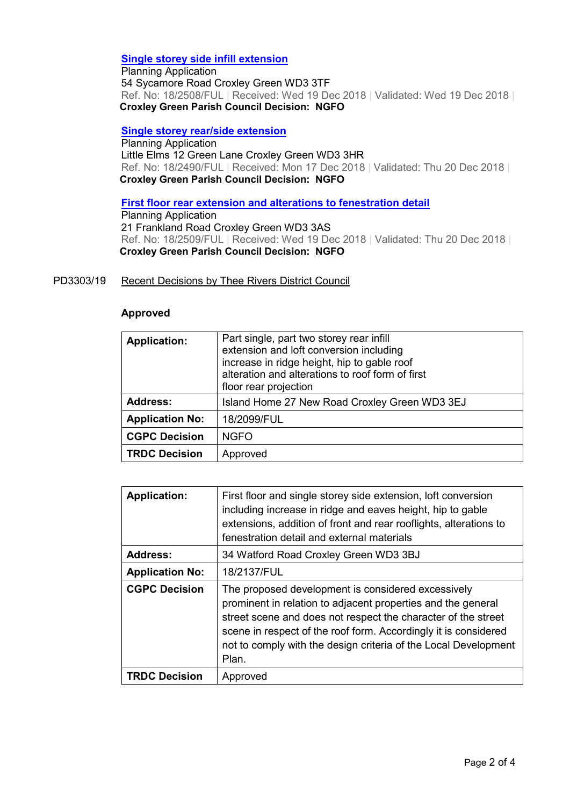## **Single storey side infill extension**

Planning Application 54 Sycamore Road Croxley Green WD3 3TF Ref. No: 18/2508/FUL | Received: Wed 19 Dec 2018 | Validated: Wed 19 Dec 2018 | **Croxley Green Parish Council Decision: NGFO** 

#### **Single storey rear/side extension**

Planning Application Little Elms 12 Green Lane Croxley Green WD3 3HR Ref. No: 18/2490/FUL | Received: Mon 17 Dec 2018 | Validated: Thu 20 Dec 2018 | **Croxley Green Parish Council Decision: NGFO** 

**First floor rear extension and alterations to fenestration detail**

Planning Application 21 Frankland Road Croxley Green WD3 3AS Ref. No: 18/2509/FUL | Received: Wed 19 Dec 2018 | Validated: Thu 20 Dec 2018 | **Croxley Green Parish Council Decision: NGFO** 

#### PD3303/19 Recent Decisions by Thee Rivers District Council

#### **Approved**

|                        | Part single, part two storey rear infill         |
|------------------------|--------------------------------------------------|
| <b>Application:</b>    | extension and loft conversion including          |
|                        |                                                  |
|                        | increase in ridge height, hip to gable roof      |
|                        | alteration and alterations to roof form of first |
|                        | floor rear projection                            |
| <b>Address:</b>        | Island Home 27 New Road Croxley Green WD3 3EJ    |
| <b>Application No:</b> | 18/2099/FUL                                      |
| <b>CGPC Decision</b>   | <b>NGFO</b>                                      |
| <b>TRDC Decision</b>   | Approved                                         |

| <b>Application:</b>    | First floor and single storey side extension, loft conversion<br>including increase in ridge and eaves height, hip to gable<br>extensions, addition of front and rear rooflights, alterations to<br>fenestration detail and external materials                                                                                     |
|------------------------|------------------------------------------------------------------------------------------------------------------------------------------------------------------------------------------------------------------------------------------------------------------------------------------------------------------------------------|
| <b>Address:</b>        | 34 Watford Road Croxley Green WD3 3BJ                                                                                                                                                                                                                                                                                              |
| <b>Application No:</b> | 18/2137/FUL                                                                                                                                                                                                                                                                                                                        |
| <b>CGPC Decision</b>   | The proposed development is considered excessively<br>prominent in relation to adjacent properties and the general<br>street scene and does not respect the character of the street<br>scene in respect of the roof form. Accordingly it is considered<br>not to comply with the design criteria of the Local Development<br>Plan. |
| <b>TRDC Decision</b>   | Approved                                                                                                                                                                                                                                                                                                                           |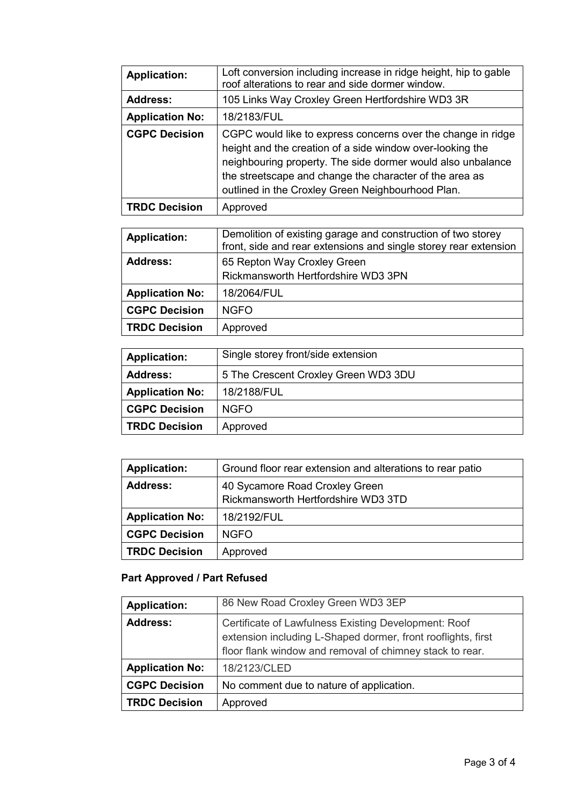| <b>Application:</b>    | Loft conversion including increase in ridge height, hip to gable<br>roof alterations to rear and side dormer window.                                                                                                                                                                                     |
|------------------------|----------------------------------------------------------------------------------------------------------------------------------------------------------------------------------------------------------------------------------------------------------------------------------------------------------|
| <b>Address:</b>        | 105 Links Way Croxley Green Hertfordshire WD3 3R                                                                                                                                                                                                                                                         |
| <b>Application No:</b> | 18/2183/FUL                                                                                                                                                                                                                                                                                              |
| <b>CGPC Decision</b>   | CGPC would like to express concerns over the change in ridge<br>height and the creation of a side window over-looking the<br>neighbouring property. The side dormer would also unbalance<br>the streetscape and change the character of the area as<br>outlined in the Croxley Green Neighbourhood Plan. |
| <b>TRDC Decision</b>   | Approved                                                                                                                                                                                                                                                                                                 |

| <b>Application:</b>    | Demolition of existing garage and construction of two storey<br>front, side and rear extensions and single storey rear extension |
|------------------------|----------------------------------------------------------------------------------------------------------------------------------|
| Address:               | 65 Repton Way Croxley Green                                                                                                      |
|                        | Rickmansworth Hertfordshire WD3 3PN                                                                                              |
| <b>Application No:</b> | 18/2064/FUL                                                                                                                      |
| <b>CGPC Decision</b>   | <b>NGFO</b>                                                                                                                      |
| <b>TRDC Decision</b>   | Approved                                                                                                                         |

| <b>Application:</b>    | Single storey front/side extension   |
|------------------------|--------------------------------------|
| <b>Address:</b>        | 5 The Crescent Croxley Green WD3 3DU |
| <b>Application No:</b> | 18/2188/FUL                          |
| <b>CGPC Decision</b>   | NGFO.                                |
| <b>TRDC Decision</b>   | Approved                             |

| <b>Application:</b>    | Ground floor rear extension and alterations to rear patio |
|------------------------|-----------------------------------------------------------|
| <b>Address:</b>        | 40 Sycamore Road Croxley Green                            |
|                        | Rickmansworth Hertfordshire WD3 3TD                       |
| <b>Application No:</b> | 18/2192/FUL                                               |
| <b>CGPC Decision</b>   | <b>NGFO</b>                                               |
| <b>TRDC Decision</b>   | Approved                                                  |

# **Part Approved / Part Refused**

| <b>Application:</b>    | 86 New Road Croxley Green WD3 3EP                                                                                                                                                |
|------------------------|----------------------------------------------------------------------------------------------------------------------------------------------------------------------------------|
| <b>Address:</b>        | Certificate of Lawfulness Existing Development: Roof<br>extension including L-Shaped dormer, front rooflights, first<br>floor flank window and removal of chimney stack to rear. |
| <b>Application No:</b> | 18/2123/CLED                                                                                                                                                                     |
| <b>CGPC Decision</b>   | No comment due to nature of application.                                                                                                                                         |
| <b>TRDC Decision</b>   | Approved                                                                                                                                                                         |